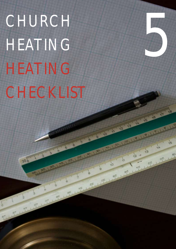CHURCH HEATING HEATING CHECKLIST

30 0

5

Accel Deal Let Let Let Construction of the Construction of the Construction of the Construction of the Construction of the Construction of the Construction of the Construction of the Construction of the Construction of the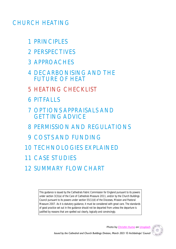# CHURCH HEATING

- 1 PRINCIPLES
- 2 PERSPECTIVES
- 3 APPROACHES
- 4 DECARBONISING AND THE FUTURE OF HEAT
- 5 HEATING CHECKLIST
- 6 PITFALLS
- 7 OPTIONS APPRAISALS AND GETTING ADVICE
- 8 PERMISSION AND REGULATIONS
- 9 COSTS AND FUNDING
- 10 TECHNOLOGIES EXPLAINED
- 11 CASE STUDIES
- 12 SUMMARY FLOWCHART

*This guidance is issued by the Cathedrals Fabric Commission for England pursuant to its powers under section 3(3)(a) of the Care of Cathedrals Measure 2011, and/or by the Church Buildings Council pursuant to its powers under section 55(1)(d) of the Dioceses, Mission and Pastoral Measure 2007. As it is statutory guidance, it must be considered with great care. The standards of good practice set out in the guidance should not be departed from unless the departure is justified by reasons that are spelled out clearly, logically and convincingly.*

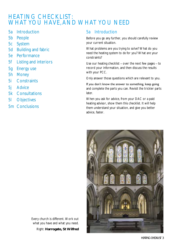## HEATING CHECKLIST: WHAT YOU HAVE, AND WHAT YOU NEED

- 5a Introduction
- 5b People
- 5c System
- 5d Building and fabric
- 5e Performance
- 5f Listing and interiors
- 5g Energy use
- 5h Money
- 5i Constraints
- 5j Advice
- 5k Consultations
- 5l Objectives
- 5m Conclusions

#### 5a Introduction

Before you go any further, you should carefully review your current situation.

What problems are you trying to solve? What do you need the heating system to *do* for you? What are your constraints?

Use our heating checklist – over the next few pages – to record your information, and then discuss the results with your PCC.

Only answer those questions which are relevant to you.

If you don't know the answer to something, keep going and complete the parts you can. Revisit the trickier parts later.

When you ask for advice, from your DAC or a paid heating advisor, show them this checklist. It will help them understand your situation, and give you better advice, faster.



Every church is different. Work out what you have and what you need. RIght: **Harrogate, St Wilfred**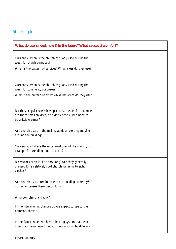### 5b People

| What do users need, now & in the future? What causes discomfort?                                                                                      |  |
|-------------------------------------------------------------------------------------------------------------------------------------------------------|--|
| Currently, when is the church regularly used during the<br>week for church purposes?<br>What is the pattern of services? What areas do they use?      |  |
| Currently, when is the church regularly used during the<br>week for community purposes?<br>What is the pattern of activities? What areas do they use? |  |
| Do these regular users have particular needs; for example<br>are there small children, or elderly people who need to<br>be a little warmer?           |  |
| Are church users in the main seated, or are they moving<br>around the building?                                                                       |  |
| Currently, what are the occasional uses of the church, for<br>example for weddings and concerts?                                                      |  |
| Do visitors drop in? For how long? Are they generally<br>dressed for a relatively cool church, or in lightweight<br>clothes?                          |  |
| Are church users comfortable in our building currently? If<br>not, what causes them discomfort?                                                       |  |
| Who complains, and why?                                                                                                                               |  |
| In the future, what changes do we expect to see to the<br>patterns, above?                                                                            |  |
| In the future, when we have a heating system that better<br>meets our users' needs, what do we want to be different?                                  |  |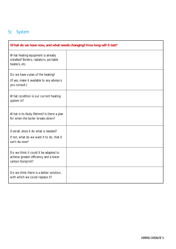## 5c System

| What do we have now, and what needs changing? How long will it last?                                 |  |
|------------------------------------------------------------------------------------------------------|--|
| What heating equipment is already<br>installed? Boilers, radiators, portable<br>heaters, etc.        |  |
| Do we have a plan of the heating?<br>(If yes, make it available to any advisors<br>you consult.)     |  |
| What condition is our current heating<br>system in?                                                  |  |
| What is its likely lifetime? Is there a plan<br>for when the boiler breaks down?                     |  |
| Overall, does it do what is needed?<br>If not, what do we want it to do, that it<br>can't do now?    |  |
| Do we think it could it be adapted to<br>achieve greater efficiency and a lower<br>carbon footprint? |  |
| Do we think there is a better solution,<br>with which we could replace it?                           |  |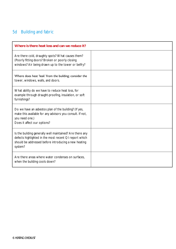## 5d Building and fabric

| Where is there heat loss and can we reduce it?                                                                                                                                        |  |
|---------------------------------------------------------------------------------------------------------------------------------------------------------------------------------------|--|
| Are there cold, draughty spots? What causes them?<br>(Poorly fitting doors? Broken or poorly closing<br>windows? Air being drawn up to the tower or belfry?                           |  |
| Where does heat 'leak' from the building; consider the<br>tower, windows, walls, and doors.                                                                                           |  |
| What ability do we have to reduce heat loss, for<br>example through draught-proofing, insulation, or soft<br>furnishings?                                                             |  |
| Do we have an asbestos plan of the building? (If yes,<br>make this available for any advisors you consult. If not,<br>you need one.)<br>Does it affect our options?                   |  |
| Is the building generally well maintained? Are there any<br>defects highlighted in the most recent QI report which<br>should be addressed before introducing a new heating<br>system? |  |
| Are there areas where water condenses on surfaces,<br>when the building cools down?                                                                                                   |  |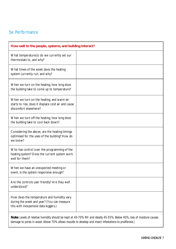#### 5e. Performance

| How well to the people, systems, and building interact?                                                                          |  |
|----------------------------------------------------------------------------------------------------------------------------------|--|
| What temperature(s) do we currently set our<br>thermostats to, and why?                                                          |  |
| What times of the week does the heating<br>system currently run, and why?                                                        |  |
| When we turn on the heating, how long does<br>the building take to come up to temperature?                                       |  |
| When we turn on the heating, and warm air<br>starts to rise, does it displace cold air and cause<br>discomfort elsewhere?        |  |
| When we turn off the heating, how long does<br>the building take to cool back down?                                              |  |
| Considering the above, are the heating timings<br>optimised for the uses of the building? How do<br>we know?                     |  |
| Who has control over the programming of the<br>heating system? Does the current system work<br>well for them?                    |  |
| When we have an unexpected meeting or<br>event, is the system responsive enough?                                                 |  |
| Are the controls user friendly? Are they well<br>understood?                                                                     |  |
| How does the temperature and humidity vary<br>during the week and year? (You can measure<br>this with inexpensive data loggers.) |  |
|                                                                                                                                  |  |

*Note: Levels of relative humidity should be kept at 40-70% RH and ideally 45-55%. Below 40%, loss of moisture causes damage to pores in wood. Above 70% allows moulds to develop and insect infestations to proliferate.)*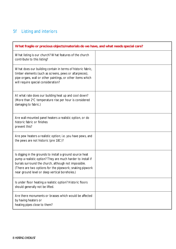## 5f Listing and interiors

| What fragile or precious objects/materials do we have, and what needs special care?                                                                                                                                                                                                             |  |
|-------------------------------------------------------------------------------------------------------------------------------------------------------------------------------------------------------------------------------------------------------------------------------------------------|--|
| What listing is our church? What features of the church<br>contribute to this listing?                                                                                                                                                                                                          |  |
| What does our building contain in terms of historic fabric,<br>timber elements (such as screens, pews or altarpieces),<br>pipe organs, wall or other paintings, or other items which<br>will require special consideration?                                                                     |  |
| At what rate does our building heat up and cool down?<br>(More than 2°C temperature rise per hour is considered<br>damaging to fabric.)                                                                                                                                                         |  |
| Are wall-mounted panel heaters a realistic option, or do<br>historic fabric or finishes<br>prevent this?                                                                                                                                                                                        |  |
| Are pew heaters a realistic option; i.e. you have pews, and<br>the pews are not historic (pre 18C)?                                                                                                                                                                                             |  |
| Is digging in the grounds to install a ground source heat<br>pump a realistic option? They are much harder to install if<br>burials surround the church, although not impossible.<br>(There are two options for the pipework; snaking pipwork<br>near ground level or deep vertical boreholes.) |  |
| Is under floor heating a realistic option? Historic floors<br>should generally not be lifted.                                                                                                                                                                                                   |  |
| Are there monuments or brasses which would be affected<br>by having heaters or<br>heating pipes close to them?                                                                                                                                                                                  |  |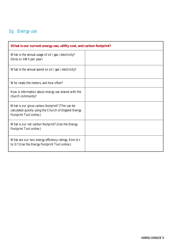### 5g Energy use

| What is our current energy use, utility cost, and carbon footprint?                                                                  |  |
|--------------------------------------------------------------------------------------------------------------------------------------|--|
| What is the annual usage of oil / gas / electricity?<br>(litres or kWh per year)                                                     |  |
| What is the annual spend on oil / gas / electricity?                                                                                 |  |
| Who reads the meters, and how often?                                                                                                 |  |
| How is information about energy use shared with the<br>church community?                                                             |  |
| What is our gross carbon footprint? (This can be<br>calculated quickly using the Church of England Energy<br>Footprint Tool online.) |  |
| What is our net carbon footprint? (Use the Energy<br>Footprint Tool online.)                                                         |  |
| What are our two energy efficiency ratings, from A+<br>to G? (Use the Energy Footprint Tool online.)                                 |  |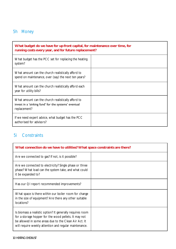### 5h Money

| What budget do we have for up-front capital, for maintenance over time, for<br>running costs every year, and for future replacement? |  |
|--------------------------------------------------------------------------------------------------------------------------------------|--|
| What budget has the PCC set for replacing the heating<br>system?                                                                     |  |
| What amount can the church realistically afford to<br>spend on maintenance, over (say) the next ten years?                           |  |
| What amount can the church realistically afford each<br>year for utility bills?                                                      |  |
| What amount can the church realistically afford to<br>invest in a 'sinking fund' for the systems' eventual<br>replacement?           |  |
| If we need expert advice, what budget has the PCC<br>authorised for advisors?                                                        |  |

#### 5i Constraints

| What connection do we have to utilities? What space constraints are there?                                                                                                                                                            |  |  |
|---------------------------------------------------------------------------------------------------------------------------------------------------------------------------------------------------------------------------------------|--|--|
| Are we connected to gas? If not, is it possible?                                                                                                                                                                                      |  |  |
| Are we connected to electricity? Single phase or three<br>phase? What load can the system take, and what could<br>it be expanded to?                                                                                                  |  |  |
| Has our QI report recommended improvements?                                                                                                                                                                                           |  |  |
| What space is there within our boiler room for change<br>in the size of equipment? Are there any other suitable<br>locations?                                                                                                         |  |  |
| Is biomass a realistic option? It generally requires room<br>for a storage hopper for the wood pellets. It may not<br>be allowed in some areas due to the Clean Air Act. It<br>will require weekly attention and regular maintenance. |  |  |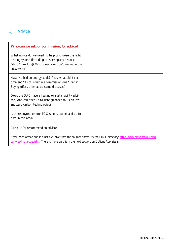### 5j Advice

| Who can we ask, or commission, for advice?                                                                                                                                       |  |  |
|----------------------------------------------------------------------------------------------------------------------------------------------------------------------------------|--|--|
| What advice do we need, to help us choose the right<br>heating system (including conserving any historic<br>fabric / interiors)? What questions don't we know the<br>answers to? |  |  |
| Have we had an energy audit? If yes, what did it rec-<br>ommend? If not, could we commission one? (Parish<br>Buying offers them as do some dioceses.)                            |  |  |
| Does the DAC have a heating or sustainability advi-<br>sor, who can offer up-to-date guidance to us on low<br>and zero carbon technologies?                                      |  |  |
| Is there anyone on our PCC who is expert and up-to-<br>date in this area?                                                                                                        |  |  |
| Can our QI recommend an advisor?                                                                                                                                                 |  |  |
| If you need advice and it is not available from the sources above, try the CIBSE directory: https://www.cibse.org/building-                                                      |  |  |

*[services/find-a-specialist.](https://www.cibse.org/building-services/find-a-specialist) There is more on this in the next section, on Options Appraisals.*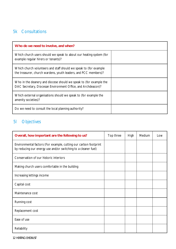#### 5k Consultations

| Who do we need to involve, and when?                                                                                                 |  |
|--------------------------------------------------------------------------------------------------------------------------------------|--|
| Which church users should we speak to about our heating system (for<br>example regular hirers or tenants)?                           |  |
| Which church volunteers and staff should we speak to (for example<br>the treasurer, church wardens, youth leaders, and PCC members)? |  |
| Who in the deanery and diocese should we speak to (for example the<br>DAC Secretary, Diocesan Environment Office, and Archdeacon)?   |  |
| Which external organisations should we speak to (for example the<br>amenity societies)?                                              |  |
| Do we need to consult the local planning authority?                                                                                  |  |

### 5l Objectives

| Overall, how important are the following to us?                                                                                    | Top three | <b>High</b> | Medium | LOW |
|------------------------------------------------------------------------------------------------------------------------------------|-----------|-------------|--------|-----|
| Environmental factors (For example, cutting our carbon footprint<br>by reducing our energy use and/or switching to a cleaner fuel) |           |             |        |     |
| Conservation of our historic interiors                                                                                             |           |             |        |     |
| Making church users comfortable in the building                                                                                    |           |             |        |     |
| Increasing lettings income                                                                                                         |           |             |        |     |
| Capital cost                                                                                                                       |           |             |        |     |
| Maintenance cost                                                                                                                   |           |             |        |     |
| Running cost                                                                                                                       |           |             |        |     |
| Replacement cost                                                                                                                   |           |             |        |     |
| Ease of use                                                                                                                        |           |             |        |     |
| Reliability                                                                                                                        |           |             |        |     |